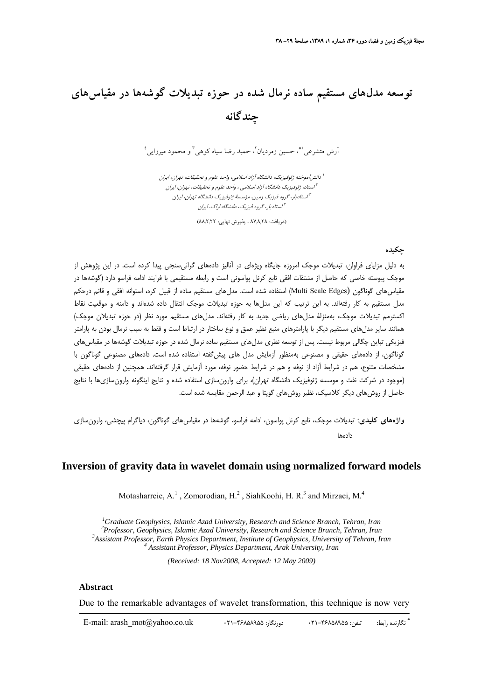# **توسعه مدلهاي مستقيم ساده نرمال شده در حوزه تبديلات گوشهها در مقياسهاي چندگانه**

 $^{\mathfrak{l}}$  و متشرعي  $^{\mathfrak{m}}$  حسين زمرديان ً، حميد رضا سياه كوهي ً و محمود ميرزايي

ا دانش $\bar{J}$ موخته ژئوفيزيک، دانشگاه آزاد اسلامي، واحد علوم و تحقيقات، تهران، ايران استاد، ژئوفيزيك دانشگاه آزاد اسلامي ، واحد علوم <sup>و</sup> تحقيقات، تهران، ايران <sup>2</sup> استاديار، گروه فيزيك زمين، مؤسسة ژئوفيزيك دانشگاه تهران، ايران <sup>3</sup> استاديار، گروه فيزيك، دانشگاه اراك، ايران <sup>4</sup>

(دريافت: 87/8/28 ، پذيرش نهايي: 88/2/22)

## **چكيده**

به دليل مزاياي فراوان، تبديلات موجك امروزه جايگاه ويژهاي در آناليز دادههاي گرانيسنجي پيدا كرده است. در اين پژوهش از موجك پيوسته خاصي كه حاصل از مشتقات افقي تابع كرنل پواسوني است و رابطه مستقيمي با فرايند ادامه فراسو دارد (گوشهها در مقياس هاي گوناگون (Multi Scale Edges) استفاده شده است. مدل هاي مستقيم ساده از قبيل كره، استوانه افقي و قائم درحكم مدل مستقيم به كار رفتهاند. به اين ترتيب كه اين مدلها به حوزه تبديلات موجك انتقال داده شدهاند و دامنه و موقعيت نقاط اكسترمم تبديلات موجك، بهمنزلة مدلهاي رياضي جديد به كار رفتهاند. مدلهاي مستقيم مورد نظر (در حوزه تبديلان موجك) همانند ساير مدلهاي مستقيم ديگر با پارامترهاي منبع نظير عمق و نوع ساختار در ارتباط است و فقط به سبب نرمال بودن به پارامتر فيزيكي تباين چگالي مربوط نيست. پس از توسعه نظري مدلهاي مستقيم ساده نرمال شده در حوزه تبديلات گوشهها در مقياسهاي گوناگون، از دادههاي حقيقي و مصنوعي بهمنظور آزمايش مدل هاي پيشگفته استفاده شده است. دادههاي مصنوعي گوناگون با مشخصات متنوع، هم در شرايط آزاد از نوفه و هم در شرايط حضور نوفه، مورد آزمايش قرار گرفتهاند. همچنين از دادههاي حقيقي (موجود در شركت نفت و موسسه ژئوفيزيك دانشگاه تهران)، براي وارونسازي استفاده شده و نتايج اينگونه وارونسازيها با نتايج حاصل از روشهاي ديگر كلاسيك، نظير روشهاي گوپتا و عبد الرحمن مقايسه شده است.

**واژههاي كليدي:** تبديلات موجك، تابع كرنل پواسون، ادامه فراسو، گوشهها در مقياسهاي گوناگون، دياگرام پيچشي، وارونسازي دادهها

## **Inversion of gravity data in wavelet domain using normalized forward models**

Motasharreie, A.<sup>1</sup>, Zomorodian, H.<sup>2</sup>, SiahKoohi, H. R.<sup>3</sup> and Mirzaei, M.<sup>4</sup>

<sup>1</sup> Graduate Geophysics, Islamic Azad University, Research and Science Branch, Tehran, Iran<br><sup>2</sup> Brofessor, Geophysics, Islamic Azad University, Besearch and Science Branch, Tehran, Iran *Professor, Geophysics, Islamic Azad University, Research and Science Branch, Tehran, Iran 3 Assistant Professor, Earth Physics Department, Institute of Geophysics, University of Tehran, Iran 4 Assistant Professor, Physics Department, Arak University, Iran* 

*(Received: 18 Nov2008, Accepted: 12 May 2009)* 

## **Abstract**

Due to the remarkable advantages of wavelet transformation, this technique is now very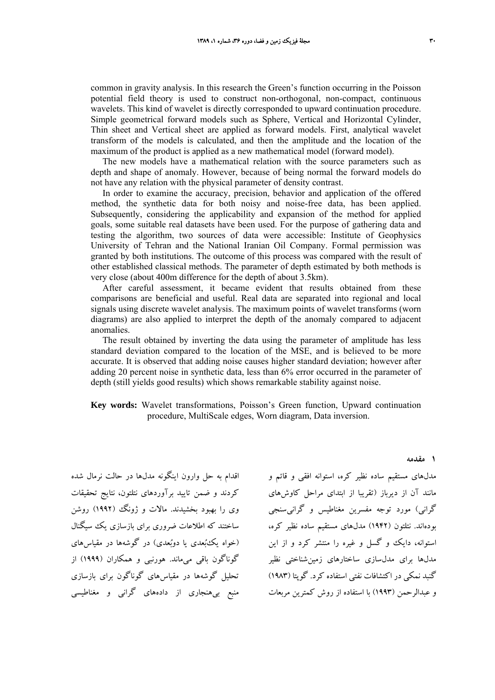common in gravity analysis. In this research the Green's function occurring in the Poisson potential field theory is used to construct non-orthogonal, non-compact, continuous wavelets. This kind of wavelet is directly corresponded to upward continuation procedure. Simple geometrical forward models such as Sphere, Vertical and Horizontal Cylinder, Thin sheet and Vertical sheet are applied as forward models. First, analytical wavelet transform of the models is calculated, and then the amplitude and the location of the maximum of the product is applied as a new mathematical model (forward model).

The new models have a mathematical relation with the source parameters such as depth and shape of anomaly. However, because of being normal the forward models do not have any relation with the physical parameter of density contrast.

In order to examine the accuracy, precision, behavior and application of the offered method, the synthetic data for both noisy and noise-free data, has been applied. Subsequently, considering the applicability and expansion of the method for applied goals, some suitable real datasets have been used. For the purpose of gathering data and testing the algorithm, two sources of data were accessible: Institute of Geophysics University of Tehran and the National Iranian Oil Company. Formal permission was granted by both institutions. The outcome of this process was compared with the result of other established classical methods. The parameter of depth estimated by both methods is very close (about 400m difference for the depth of about 3.5km).

After careful assessment, it became evident that results obtained from these comparisons are beneficial and useful. Real data are separated into regional and local signals using discrete wavelet analysis. The maximum points of wavelet transforms (worn diagrams) are also applied to interpret the depth of the anomaly compared to adjacent anomalies.

The result obtained by inverting the data using the parameter of amplitude has less standard deviation compared to the location of the MSE, and is believed to be more accurate. It is observed that adding noise causes higher standard deviation; however after adding 20 percent noise in synthetic data, less than 6% error occurred in the parameter of depth (still yields good results) which shows remarkable stability against noise.

**Key words:** Wavelet transformations, Poisson's Green function, Upward continuation procedure, MultiScale edges, Worn diagram, Data inversion.

اقدام به حل وارون اينگونه مدلها در حالت نرمال شده كردند و ضمن تاييد برآوردهاي نتلتون، نتايج تحقيقات وي را بهبود بخشيدند. مالات و ژونگ (1992) روشن ساختند كه اطلاعات ضروري براي بازسازي يك سيگنال (خواه يكبعدي يا دوبعدي) در گوشهها در مقياسهاي گوناگون باقي ميماند. هورنبي و همكاران (1999) از تحليل گوشهها در مقياسهاي گوناگون براي بازسازي منبع بيهنجاري از دادههاي گراني و مغناطيسي

مدلهاي مستقيم ساده نظير كره، استوانه افقي و قائم و مانند آن از ديرباز (تقريبا از ابتداي مراحل كاوشهاي گراني) مورد توجه مفسرين مغناطيس و گرانيسنجي بودهاند. نتلتون (1942) مدلهاي مستقيم ساده نظير كره، استوانه، دايك و گسل و غيره را منتشر كرد و از اين مدلها براي مدلسازي ساختارهاي زمينشناختي نظير گنبد نمكي در اكتشافات نفتي استفاده كرد. گوپتا (1983) و عبدالرحمن (1993) با استفاده از روش كمترين مربعات

#### **1 مقدمه**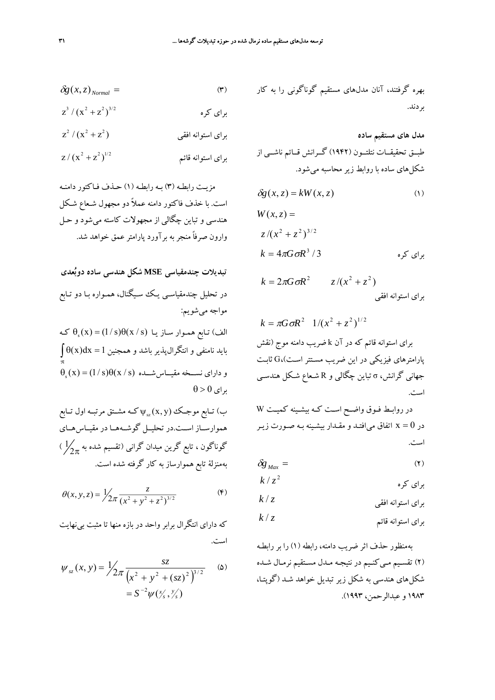$$
\delta g(x, z)_{Normal} = (r)
$$

$$
z^3 / (x^2 + z^2)^{3/2}
$$

$$
z^2/(x^2+z^2)
$$

$$
z/(x^2+z^2)^{1/2}
$$

مزيـت رابطـه (3) بـه رابطـه (1) حـذف فـاكتور دامنـه است. با خذف فاكتور دامنه عملاً دو مجهول شـعاع شـكل هندسي و تباين چگالي از مجهولات كاسته ميشود و حـل وارون صرفاً منجربه برآورد پارامترعمق خواهد شد.

**تبديلات چندمقياسي MSE شكل هندسي ساده دوبعدي** در تحليل چندمقياسـي يـك سـيگنال ، همـواره بـا دو تـابع مواجه ميشويم: الف) تـابع همـوار سـاز يـا  $\theta_{\text{s}}(\text{x}) = (1/\text{s}) \theta(\text{x}/\text{s})$  كـه  $\int \theta (\text{x}) \text{d}\text{x} = 1$  بايد نامنفى و انتگرال $\downarrow$ يدير باشد و همجنين ℜ  $\theta_{\rm s}(\text{x})$ و دارای نســخه مقيــاسشــده  $\theta(\text{x/s}) = (1/\text{s})$  $\theta > 0$  براي ب) تــابع موجــك (y $_{\mathrm{sz}}(\mathrm{x},\mathrm{y})$ كــه مشــتق مرتبــه اول تــابع

هموارســاز اســت.در تحليــل گوشــههــا در مقيــاسهــاي  $\frac{1}{2\pi}$ گوناگون ، تابع گرين ميدان گرانی (تقسيم شده به  $\frac{1}{2\pi}$  ) بهمنزلة تابع هموارساز به كار گرفته شده است.

$$
\theta(x, y, z) = \frac{1}{2\pi} \frac{z}{(x^2 + y^2 + z^2)^{3/2}}
$$
 (5)

كه داراي انتگرال برابر واحد در بازه منها تا مثبت بي نهايت است.

$$
\psi_{sz}(x, y) = \frac{1}{2\pi} \frac{sz}{(x^2 + y^2 + (sz)^2)^{3/2}}
$$
 (2)  
=  $S^{-2} \psi(y'_s, y'_s)$ 

بهره گرفتند، آنان مدلهاي مستقيم گوناگوني را به كار بردند.

**مدل هاي مستقيم ساده** طبــق تحقيقــات نتلتــون (1942) گــرانش قــائم ناشــي از شكلهاي ساده با روابط زير محاسبه ميشود.

$$
\delta g(x, z) = kW(x, z) \tag{1}
$$

$$
W(x, z) =
$$
  
\n
$$
z/(x^{2} + z^{2})^{3/2}
$$
  
\n
$$
k = 4\pi G \sigma R^{3} / 3
$$

$$
k = 2\pi G \sigma R^2 \qquad z/(x^2 + z^2)
$$

$$
k = \pi G \sigma R^2 \quad 1/(x^2 + z^2)^{1/2}
$$
  
برای استوانه قائم که در آن k فسریب دامنه موج (نقش  
پارامترهای فیزیکی در این ضریب مستتر است)، Ω ثابت  
جهانی گرانش، π تباین چگالی و R شعاع شکل هندسی  
است.

در روابـط فـوق واضـح اسـت كـه بيشـينه كميـت W در x = 0 اتفاق مىافتـد و مقـدار بيشـينه بـه صـورت زيـر است.

$$
\delta g_{\text{Max}} = \tag{1}
$$

$$
k/z^2
$$

$$
k/z
$$
 برای استوانه افقی

$$
k/z
$$
 برای استوانه قائم

بهمنظور حذف اثر ضريب دامنه ، رابطه (1) را بر رابطـه (2) تقسـيم مـيكنـيم در نتيجـه مـدل مسـتقيم نرمـال شـده شكلهاي هندسي به شكل زير تبديل خواهد شـد (گوپتـا، 1983 و عبدالرحمن، 1993).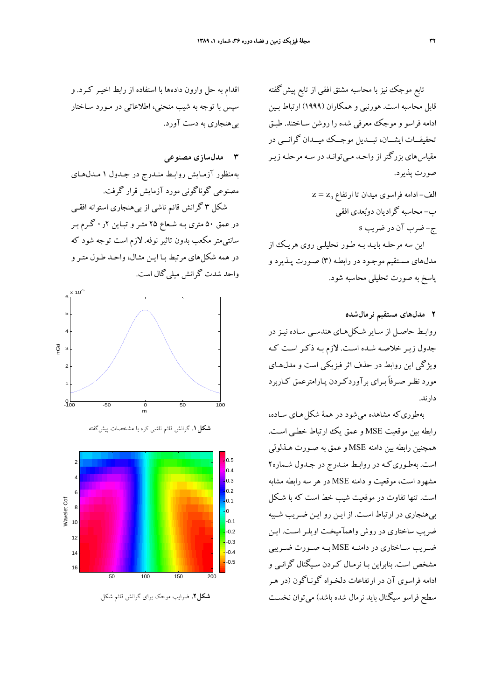تابع موجك نيز با محاسبه مشتق افقى از تابع پيش گفته قابل محاسبه است. هورنبي و همكاران (1999) ارتباط بـين ادامه فراسو و موجك معرفي شده را روشن سـاختند. طبـق تحقيقــات ايشــان، تبــديل موجــك ميــدان گرانــي در مقياسهاي بزرگتر از واحـد مـي توانـد در سـه مرحلـه زيـر صورت پذيرد.

= z z <sup>0</sup> الف- ادامه فراسوي ميدان تا ارتفاع ب- محاسبه گراديان دوبعدي افقي ج- ضرب آن در ضريب s اين سه مرحلـه بايـد بـه طـور تحليلـي روي هريـك از مدلهاي مسـتقيم موجـود د ر رابطـه (3) صـورت پـذيرد و پاسخ به صورت تحليلي محاسبه شود.

**2 مدلهاي مستقيم نرمالشده** روابـط حاصـل از سـاير شـكل۵هـاي هندسـي سـاده نيـز در جدول زيـر خلاصـه شـده اسـت . لازم بـه ذكـر اسـت كـه ويژگي اين روابط در حذف اث ر فيزيكي است و مدلهـاي مورد نظـر صـرفاً بـراي برآوردكـردن پـارامترعمق كـاربرد دارند.

بهطوريكه مشاهده ميشود در همة شكلهـاي سـاده، رابطه بين موقعيت MSE و عمق يك ارتباط خطـي اسـت. همچنين رابطه بين دامنه MSE و عمق به صـورت هـذلولي است. بهطـوريكـه در روابـط منـدرج در جـدو ل شـماره2 مشهود است، موقعيت و دامنه MSE در هر سه رابطه مشابه است. تنها تفاوت در موقعيت شيب خط است كه با شـكل بيهنجاري در ارتباط اسـت . از ايـن رو ايـن ضـريب شـبيه ضريب ساختاري در روش واهمآميخت اويلـر اسـت. ايـن ضــريب ســاختاري در دامنــه MSE بــه صــورت ضــريبي مشخص است. بنابراين بـا نرمـال كـردن سـيگنال گرانـي و ادامه فراسوي آن در ارتفاعات دلخـواه گونـاگون (در هـر سطح فراسو سيگنال بايد نرمال شده باشد ) ميتوان نخسـت

اقدام به حل وارون داده ها با استفاده از رابط اخيـر كـرد. و سپس با توجه به شيب منحني ، اطلاعاتي در مـورد سـاختار بيهنجاري به دست آورد.

## **3 مدلسازي مصنوعي** بهمنظور آزمـايش روابـط منـدرج در جـدول 1 مـدلهـاي مصنوعي گوناگوني مورد آزمايش قرار گرفت. شكل 3 گرانش قائم ناشي از بي هنجاري استوانه افقـي در عمق 50 متري بـه شـعاع 25 متـر و تبـاين 2ر0 گـرم بـر سانتيمتر مكعب بدون تاثير نوفه . لازم است توجه شود كه در همه شكلهاي مرتبط بـا ايـن مثـال ، واحـد طـول متـرو واحد شدت گرانش ميليگال است.



**شكل**.**1** گرانش قائم ناشي كره با مشخصات پيشگفته.



**شكل**.**2** ضرايب موجك براي گرانش قائم شكل.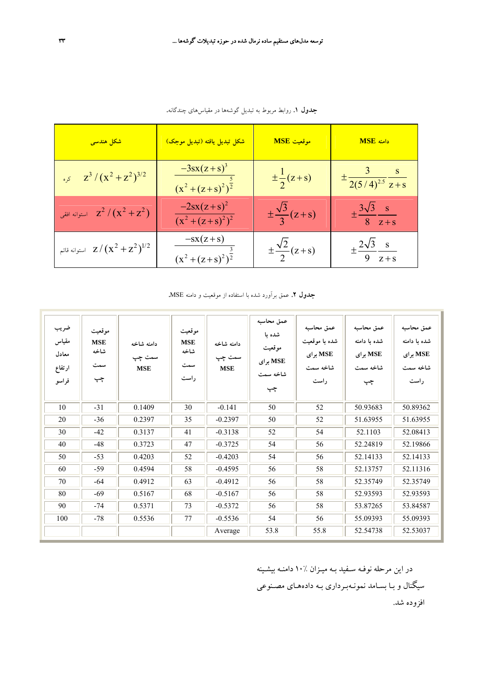| <mark>شکل هندسی</mark>           | <mark>شکل تبدیل یافته (تبدیل موجک)</mark>                    | موقعیت MSE                   | دامنه MSE                                  |
|----------------------------------|--------------------------------------------------------------|------------------------------|--------------------------------------------|
| $\int z^3 / (x^2 + z^2)^{3/2}$   | $\frac{-3sx(z+s)^3}{s}$<br>$(x^2 + (z + s)^2)^{\frac{1}{2}}$ | $\pm \frac{1}{2}(z+s)$       | $\pm \frac{3}{2(5/4)^{2.5}} \frac{s}{z+s}$ |
| استوانه افقی $z^2/(x^2+z^2)$     | $-2sx(z+s)^2$<br>$(x^2+(z+s)^2)^2$                           | $\pm\frac{\sqrt{3}}{3}(z+s)$ | $\pm \frac{3\sqrt{3}}{8} \frac{s}{z+s}$    |
| استوانه قائم $z/(x^2+z^2)^{1/2}$ | $-sx(z+s)$<br>$(x^2 + (z + s)^2)^{\frac{3}{2}}$              | $\pm\frac{\sqrt{2}}{2}(z+s)$ | $\pm \frac{2\sqrt{3}}{9} \frac{s}{z+s}$    |

**جدول** .**1** روابط مربوط به تبديل گوشهها در مقياسهاي چندگانه.

**جدول** .**2** عمق برآورد شده با استفاده از موقعيت و دامنه MSE.

| ضريب<br>مقياس<br>معادل<br>ارتفاع<br>فراسو | موقعيت<br><b>MSE</b><br>شاخه<br>سمت<br>چپ | دامنه شاخه<br>سمت چپ<br><b>MSE</b> | موقعيت<br><b>MSE</b><br>شاخه<br>سمت<br>راست | دامنه شاخه<br>سمت چپ<br><b>MSE</b> | عمق محاسبه<br>شده با<br>موقعيت<br>MSE برای<br>شاخه سمت<br>چپ | عمق محاسبه<br>شده با موقعیت<br>MSE برای<br>شاخه سمت<br>راست | عمق محاسبه<br>شده با دامنه<br>MSE برای<br>شاخه سمت<br>چپ | عمق محاسبه<br>شده با دامنه<br>MSE برای<br>شاخه سمت<br>راست |
|-------------------------------------------|-------------------------------------------|------------------------------------|---------------------------------------------|------------------------------------|--------------------------------------------------------------|-------------------------------------------------------------|----------------------------------------------------------|------------------------------------------------------------|
| 10                                        | $-31$                                     | 0.1409                             | 30                                          | $-0.141$                           | 50                                                           | 52                                                          | 50.93683                                                 | 50.89362                                                   |
| 20                                        | $-36$                                     | 0.2397                             | 35                                          | $-0.2397$                          | 50                                                           | 52                                                          | 51.63955                                                 | 51.63955                                                   |
| 30                                        | $-42$                                     | 0.3137                             | 41                                          | $-0.3138$                          | 52                                                           | 54                                                          | 52.1103                                                  | 52.08413                                                   |
| 40                                        | $-48$                                     | 0.3723                             | $47\,$                                      | $-0.3725$                          | 54                                                           | 56                                                          | 52.24819                                                 | 52.19866                                                   |
| 50                                        | $-53$                                     | 0.4203                             | 52                                          | $-0.4203$                          | 54                                                           | 56                                                          | 52.14133                                                 | 52.14133                                                   |
| 60                                        | $-59$                                     | 0.4594                             | 58                                          | $-0.4595$                          | 56                                                           | 58                                                          | 52.13757                                                 | 52.11316                                                   |
| 70                                        | $-64$                                     | 0.4912                             | 63                                          | $-0.4912$                          | 56                                                           | 58                                                          | 52.35749                                                 | 52.35749                                                   |
| 80                                        | $-69$                                     | 0.5167                             | 68                                          | $-0.5167$                          | 56                                                           | 58                                                          | 52.93593                                                 | 52.93593                                                   |
| 90                                        | $-74$                                     | 0.5371                             | 73                                          | $-0.5372$                          | 56                                                           | 58                                                          | 53.87265                                                 | 53.84587                                                   |
| 100                                       | $-78$                                     | 0.5536                             | 77                                          | $-0.5536$                          | 54                                                           | 56                                                          | 55.09393                                                 | 55.09393                                                   |
|                                           |                                           |                                    |                                             | Average                            | 53.8                                                         | 55.8                                                        | 52.54738                                                 | 52.53037                                                   |

در اين مرحله نوفـه سـفيد بـه ميـزان 10% دامنـه بيشـينه سيگنال و بـا بسـامد نمونـهبـرداري بـه داده هـاي مصـنوعي افزوده شد.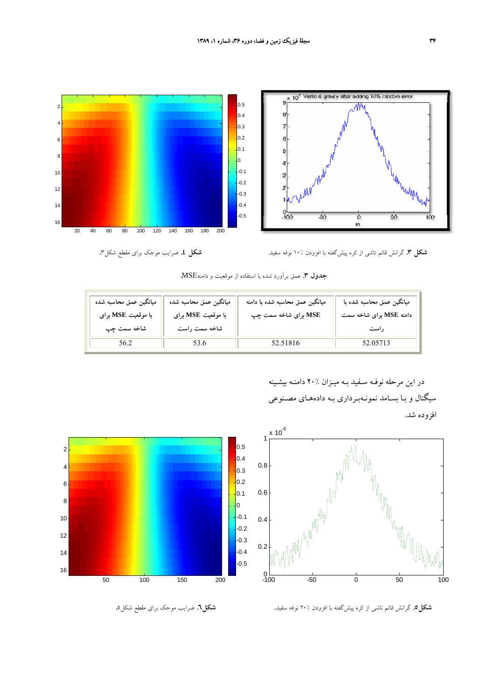

 **شكل** .**3** گرانش قائم ناشي از كره پيشگفته با افزودن 10% نوفه سفيد. **شكل** .**4** ضرايب موجك براي مقطع شكل.3

**جدول** .**3** عمق برآورد شده با استفاده از موقعيت و دامنهMSE.

| ميانگين عمق محاسبه شده<br>با موقعیت MSE برای<br>شاخه سمت چپ | مبانگين عمق محاسبه شده<br>با موقعیت MSE برای<br>شاخه سمت راست | میانگین عمق محاسبه شده با دامنه<br>MSE برای شاخه سمت چپ | میانگین عمق محاسبه شده با<br>دامنه MSE برای شاخه سمت<br>, است |
|-------------------------------------------------------------|---------------------------------------------------------------|---------------------------------------------------------|---------------------------------------------------------------|
|                                                             |                                                               | 52.51816                                                | 52.05713                                                      |

در اين مرحله نوفـه سـفيد بـه ميـزان 20% دامنـه بيشـينه سيگنال و بـا بسـامد نمونـهبـرداري بـه داده هـاي مصـنوعي افزوده شد.





 **شكل.5** گرانش قائم ناشي از كره پيشگفته با افزودن 20% نوفه سفيد. **شكل**.**6** ضرايب موجك براي مقطع شكل.5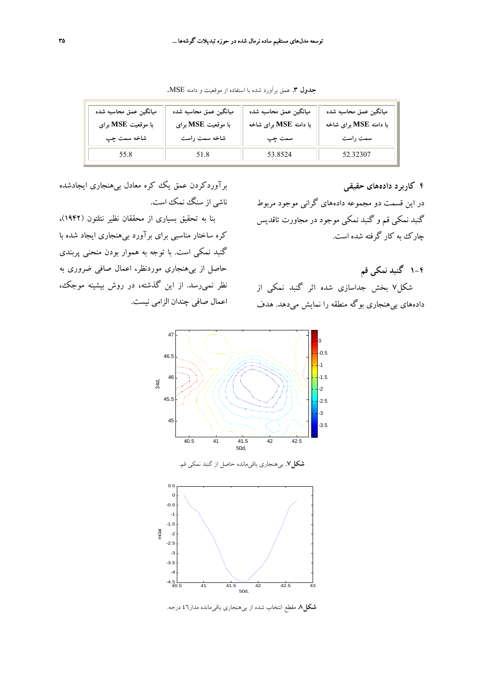| ميانگين عمق محاسبه شده | ميانگين عمق محاسبه شده | ميانگين عمق محاسبه شده | ميانگين عمق محاسبه شده |  |
|------------------------|------------------------|------------------------|------------------------|--|
| با موقعیت MSE برای     | با موقعیت MSE برای     | با دامنه MSE برای شاخه | با دامنه MSE برای شاخه |  |
| شاخه سمت چپ            | شاخه سمت راست          | سمت چپ                 | سمت راست               |  |
| 55.8                   | 51.8                   | 53.8524                | 52.32307               |  |

**جدول** .**<sup>3</sup>** عمق برآورد شده با استفاده از موقعيت <sup>و</sup> دامنه MSE.

**4 كاربرد دادههاي حقيقي**

در اين قسمت دو مجموعه دادههاي گراني موجود مربوط گنبد نمكي قم و گنبد نمكي موجود در مجاورت تاقديس چارك به كار گرفته شده است.

**1-4 گنبد نمكي قم** شكل7 بخش جداسازي شده اثر گنبد نمكي از دادههاي بيهنجاري بوگه منطقه را نمايش ميدهد. هدف

برآوردكردن عمق يك كره معادل بيهنجاري ايجادشده ناشي از سنگ نمك است.

بنا به تحقيق بسياري از محققان نظير نتلتون (1942)، كره ساختار مناسبي براي برآورد بيهنجاري ايجاد شده با گنبد نمكي است. با توجه به هموار بودن منحني پربندي حاصل از بيهنجاري موردنظر، اعمال صافي ضروري به نظر نميرسد. از اين گذشته، در روش بيشينه موجك، اعمال صافي چندان الزامي نيست.



**شكل**.**8** مقطع انتخاب شده از بيهنجاري باقيمانده مدار46 درجه.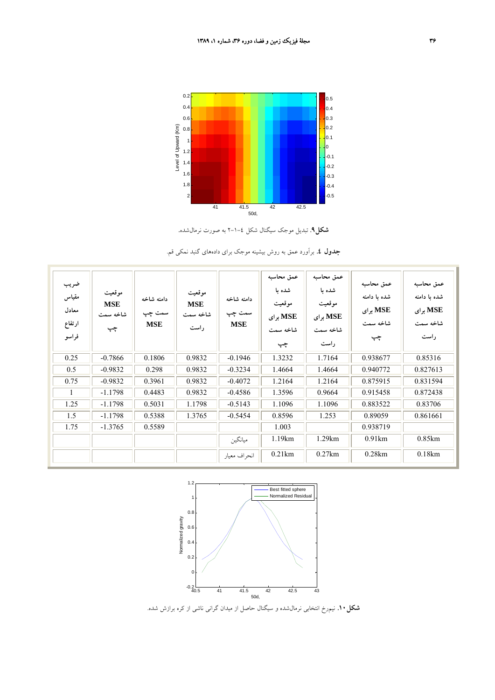

**شكل**.**9** تبديل موجك سيگنال شكل 2-1-4 به صورت نرمالشده.

**جدول .4** برآورد عمق به روش بيشينه موجك براي دادههاي گنبد نمكي قم.

| ضريب<br>مقياس<br>معادل<br>ارتفاع<br>فراسو | موقعيت<br><b>MSE</b><br>شاخه سمت<br>چپ | دامنه شاخه<br>سمت چپ<br><b>MSE</b> | موقعيت<br><b>MSE</b><br>شاخه سمت<br>ر است | دامنه شاخه<br>سمت چپ<br><b>MSE</b> | عمق محاسبه<br>شده با<br>موقعيت<br>MSE برای<br>شاخه سمت<br>چپ | عمق محاسبه<br>شده با<br>موقعيت<br>MSE برای<br>شاخه سمت<br>راست | عمق محاسبه<br>شده با دامنه<br>MSE برای<br>شاخه سمت<br>چپ | عمق محاسبه<br>شده ىا دامنه<br>MSE برای<br>شاخه سمت<br>راست |
|-------------------------------------------|----------------------------------------|------------------------------------|-------------------------------------------|------------------------------------|--------------------------------------------------------------|----------------------------------------------------------------|----------------------------------------------------------|------------------------------------------------------------|
| 0.25                                      | $-0.7866$                              | 0.1806                             | 0.9832                                    | $-0.1946$                          | 1.3232                                                       | 1.7164                                                         | 0.938677                                                 | 0.85316                                                    |
| 0.5                                       | $-0.9832$                              | 0.298                              | 0.9832                                    | $-0.3234$                          | 1.4664                                                       | 1.4664                                                         | 0.940772                                                 | 0.827613                                                   |
| 0.75                                      | $-0.9832$                              | 0.3961                             | 0.9832                                    | $-0.4072$                          | 1.2164                                                       | 1.2164                                                         | 0.875915                                                 | 0.831594                                                   |
| $\mathbf{1}$                              | $-1.1798$                              | 0.4483                             | 0.9832                                    | $-0.4586$                          | 1.3596                                                       | 0.9664                                                         | 0.915458                                                 | 0.872438                                                   |
| 1.25                                      | $-1.1798$                              | 0.5031                             | 1.1798                                    | $-0.5143$                          | 1.1096                                                       | 1.1096                                                         | 0.883522                                                 | 0.83706                                                    |
| 1.5                                       | $-1.1798$                              | 0.5388                             | 1.3765                                    | $-0.5454$                          | 0.8596                                                       | 1.253                                                          | 0.89059                                                  | 0.861661                                                   |
| 1.75                                      | $-1.3765$                              | 0.5589                             |                                           |                                    | 1.003                                                        |                                                                | 0.938719                                                 |                                                            |
|                                           |                                        |                                    |                                           | ميانگين                            | 1.19km                                                       | 1.29km                                                         | 0.91km                                                   | 0.85km                                                     |
|                                           |                                        |                                    |                                           | انحراف معيار                       | 0.21km                                                       | 0.27km                                                         | 0.28km                                                   | 0.18km                                                     |



**شكل.10** نيمرخ انتخابي نرمالشده و سيگنال حاصل از ميدان گراني ناشي از كره برازش شده.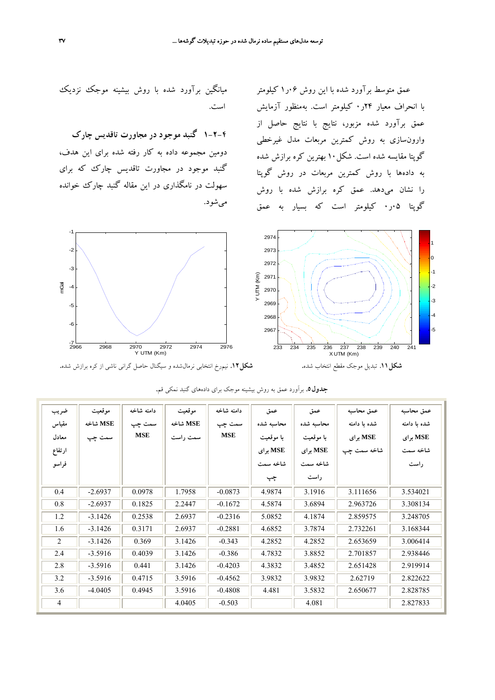عمق متوسط برآورد شده با اين روش 06ر1 كيلومتر با انحراف معيار 24ر0 كيلومتر است. بهمنظور آزمايش عمق برآورد شده مزبور، نتايج با نتايج حاصل از وارونسازي به روش كمترين مربعات مدل غيرخطي گوپتا مقايسه شده است. شكل10 بهترين كره برازش شده به دادهها با روش كمترين مربعات در روش گوپتا را نشان ميدهد. عمق كره برازش شده با روش گوپتا 05ر0 كيلومتر است كه بسيار به عمق



**1-2-4 گنبد موجود در مجاورت تاقديس چارك** دومين مجموعه داده به كار رفته شده براي اين هدف، گنبد موجود در مجاورت تاقديس چارك كه براي سهولت در نامگذاري در اين مقاله گنبد چارك خوانده ميشود.





| ضريب           | موقعيت    | دامنه شاخه | موقعيت   | دامنه شاخه | عمق        | عمق        | عمق محاسبه   | عمق محاسبه   |
|----------------|-----------|------------|----------|------------|------------|------------|--------------|--------------|
| مقياس          | MSE شاخه  | سمت چپ     | MSE شاخه | سمت چپ     | محاسبه شده | محاسبه شده | شده با دامنه | شده با دامنه |
| معادل          | سمت چپ    | <b>MSE</b> | سمت راست | <b>MSE</b> | با موقعیت  | با موقعیت  | MSE برای     | MSE برای     |
| ارتفاع         |           |            |          |            | MSE برای   | MSE برای   | شاخه سمت چپ  | شاخه سمت     |
| فراسو          |           |            |          |            | شاخه سمت   | شاخه سمت   |              | راست         |
|                |           |            |          |            | چپ         | راست       |              |              |
| 0.4            | $-2.6937$ | 0.0978     | 1.7958   | $-0.0873$  | 4.9874     | 3.1916     | 3.111656     | 3.534021     |
| 0.8            | $-2.6937$ | 0.1825     | 2.2447   | $-0.1672$  | 4.5874     | 3.6894     | 2.963726     | 3.308134     |
| 1.2            | $-3.1426$ | 0.2538     | 2.6937   | $-0.2316$  | 5.0852     | 4.1874     | 2.859575     | 3.248705     |
| 1.6            | $-3.1426$ | 0.3171     | 2.6937   | $-0.2881$  | 4.6852     | 3.7874     | 2.732261     | 3.168344     |
| $\overline{2}$ | $-3.1426$ | 0.369      | 3.1426   | $-0.343$   | 4.2852     | 4.2852     | 2.653659     | 3.006414     |
| 2.4            | $-3.5916$ | 0.4039     | 3.1426   | $-0.386$   | 4.7832     | 3.8852     | 2.701857     | 2.938446     |
| 2.8            | $-3.5916$ | 0.441      | 3.1426   | $-0.4203$  | 4.3832     | 3.4852     | 2.651428     | 2.919914     |
| 3.2            | $-3.5916$ | 0.4715     | 3.5916   | $-0.4562$  | 3.9832     | 3.9832     | 2.62719      | 2.822622     |
| 3.6            | $-4.0405$ | 0.4945     | 3.5916   | $-0.4808$  | 4.481      | 3.5832     | 2.650677     | 2.828785     |
| 4              |           |            | 4.0405   | $-0.503$   |            | 4.081      |              | 2.827833     |

**جدول**.**5** برآورد عمق به روش بيشينه موجك براي دادههاي گنبد نمكي قم.